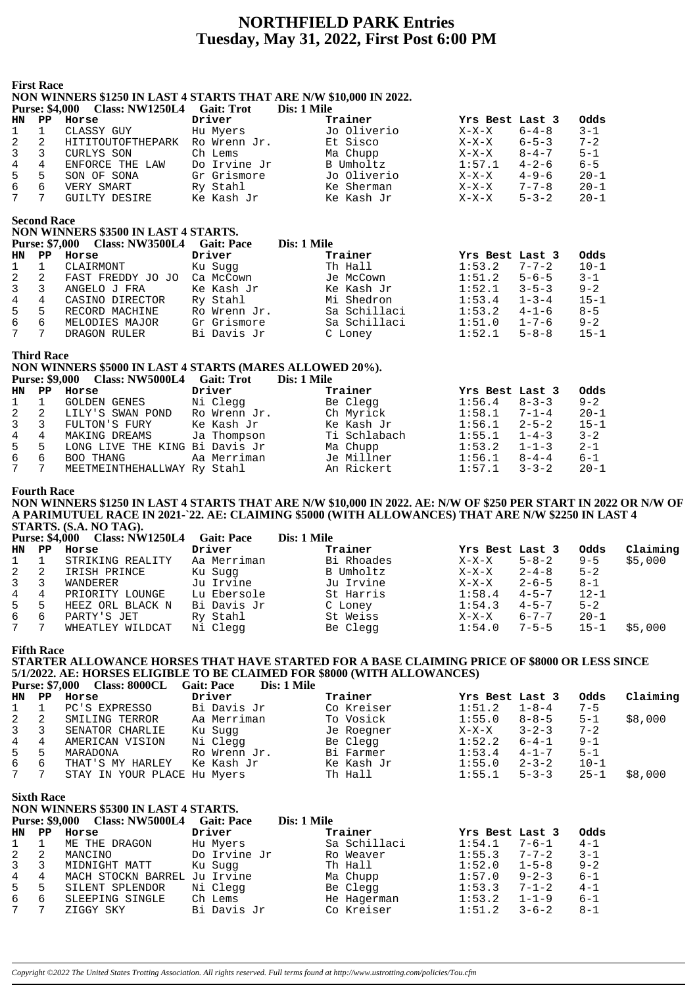# **NORTHFIELD PARK Entries Tuesday, May 31, 2022, First Post 6:00 PM**

# **First Race NON WINNERS \$1250 IN LAST 4 STARTS THAT ARE N/W \$10,000 IN 2022. Purse: \$4,000 Class: NW1250L4 Gait: Trot Dis: 1 Mile HN PP Horse Driver Trainer Yrs Best Last 3 Odds** 1 1 CLASSY GUY Hu Myers Jo Oliverio X-X-X 6-4-8 3-1 2 2 HITITOUTOFTHEPARK Ro Wrenn Jr. Et Sisco X-X-X 6-5-3 7-2<br>
2 3 CURLYS SON Ch Lems Ma Chupp X-X-X 8-4-7 5-1<br>
4 4 ENFORCE THE LAW Do Irvine Jr B Umholtz 1:57.1 4-2-6 6-5<br>
5 5 SON OF SONA Gr Grismore Jo Oliverio X-X-X 4-9-6 3 3 CURLYS SON Ch Lems Ma Chupp X-X-X 8-4-7 5-1 4 4 ENFORCE THE LAW Do Irvine Jr B Umholtz 1:57.1 4-2-6 6-5 5 5 SON OF SONA Gr Grismore Jo Oliverio X-X-X 4-9-6 20-1 6 6 VERY SMART Ry Stahl Ke Sherman X-X-X 7-7-8 20-1 7 7 GUILTY DESIRE Ke Kash Jr Ke Kash Jr X-X-X 5-3-2 20-1 **Second Race NON WINNERS \$3500 IN LAST 4 STARTS. Purse: \$7,000 Class: NW3500L4 Gait: Pace Dis: 1 Mile HN PP Horse Driver Trainer Yrs Best Last 3 Odds** 1 1 CLAIRMONT Ku Sugg Th Hall 1:53.2 7-7-2 10-1 2 2 FAST FREDDY JO JO Ca McCown Je McCown 1:51.2 5-6-5 3-1 3 3 ANGELO J FRA Ke Kash Jr Ke Kash Jr 1:52.1 3-5-3 9-2 4 4 CASINO DIRECTOR Ry Stahl Mi Shedron 1:53.4 1-3-4 15-1 3 3 ANGELO J FRA K Kash Jr<br>
4 4 CASINO DIRECTOR Ry Stahl Mi Shedron 1:52.1 3-5-3 9-2<br>
5 5 RECORD MACHINE Ro Wrenn Jr. Sa Schillaci 1:53.2 4-1-6 8-5<br>
6 6 MELODIES MAJOR Gr Grismore Sa Schillaci 1:51.0 1-7-6 9-2<br>
7 DRAGON RU 6 6 MELODIES MAJOR Gr Grismore Sa Schillaci 1:51.0 1-7-6 9-2 7 7 DRAGON RULER Bi Davis Jr C Loney 1:52.1 5-8-8 15-1 **Third Race NON WINNERS \$5000 IN LAST 4 STARTS (MARES ALLOWED 20%).** Purse: \$9,000 Class: NW5000L4 Gait: Trot Dis: 1 Mile<br> **EXECUTE: PROPERTY PROPERTY:** Trainer **HN PP Horse Driver Driver Trainer Yrs Best Last 3 Odds**<br>
1 1 GOLDEN GENES Ni Clegg Be Clegg 1:56.4 8-3-3 9-2<br>
2 2 IIV'S GENES DRIVER TRAINERS ON THE STATE OF THE STATE OF THE STATE OF THE STATE OF THE STATE OF THE STATE 1 1 GOLDEN GENES Ni Clegg Be Clegg 1:56.4 8-3-3 9-2 2 2 LILY'S SWAN POND Ro Wrenn Jr. Ch Myrick 1:58.1 7-1-4 20-1 3 3 FULTON'S FURY Ke Kash Jr Ke Kash Jr 1:56.1 2-5-2 15-1 4 4 MAKING DREAMS Ja Thompson Ti Schlabach 1:55.1 1-4-3 3-2 5 5 LONG LIVE THE KING Bi Davis Jr Ma Chupp 1:53.2 1-1-3 2-1

6 6 BOO THANG Aa Merriman Je Millner 1:56.1 8-4-4 6-1 7 7 MEETMEINTHEHALLWAY Ry Stahl An Rickert 1:57.1 3-3-2 20-1

#### **Fourth Race**

**NON WINNERS \$1250 IN LAST 4 STARTS THAT ARE N/W \$10,000 IN 2022. AE: N/W OF \$250 PER START IN 2022 OR N/W OF A PARIMUTUEL RACE IN 2021-`22. AE: CLAIMING \$5000 (WITH ALLOWANCES) THAT ARE N/W \$2250 IN LAST 4 STARTS. (S.A. NO TAG).**

|              | <b>Purse: \$4,000</b> | <b>Class: NW1250L4</b> | <b>Gait: Pace</b> | Dis: 1 Mile |                 |             |          |          |
|--------------|-----------------------|------------------------|-------------------|-------------|-----------------|-------------|----------|----------|
|              | HN PP                 | Horse                  | Driver            | Trainer     | Yrs Best Last 3 |             | Odds     | Claiming |
| $\mathbf{1}$ |                       | STRIKING REALITY       | Aa Merriman       | Bi Rhoades  | $X-X-X$         | $5 - 8 - 2$ | $9 - 5$  | \$5,000  |
| 2            |                       | IRISH PRINCE           | Ku Suqq           | B Umholtz   | $X-X-X$         | $2 - 4 - 8$ | $5 - 2$  |          |
| 3            |                       | WANDERER               | Ju Irvine         | Ju Irvine   | $X-X-X$         | $2 - 6 - 5$ | $8 - 1$  |          |
| 4            | 4                     | PRIORITY LOUNGE        | Lu Ebersole       | St Harris   | 1:58.4          | $4 - 5 - 7$ | $12 - 1$ |          |
| 5            | 5                     | HEEZ ORL BLACK N       | Bi Davis Jr       | C Loney     | 1:54.3          | $4 - 5 - 7$ | $5 - 2$  |          |
| 6            | 6                     | PARTY'S JET            | Ry Stahl          | St Weiss    | $X-X-X$         | $6 - 7 - 7$ | $20 - 1$ |          |
| 7            |                       | WHEATLEY WILDCAT       | Ni Clegg          | Be Clegg    | 1:54.0          | $7 - 5 - 5$ | $15 - 1$ | \$5,000  |

**Fifth Race**

#### **STARTER ALLOWANCE HORSES THAT HAVE STARTED FOR A BASE CLAIMING PRICE OF \$8000 OR LESS SINCE 5/1/2022. AE: HORSES ELIGIBLE TO BE CLAIMED FOR \$8000 (WITH ALLOWANCES) Purse: \$7,000 Class: 8000CL Gait: Pace Dis: 1 Mile**

|                  |       | PUISC: 37,000 URSS: OUUUUL  | Gail: Pace<br>DIS: 1 MHE |            |                 |             |          |          |
|------------------|-------|-----------------------------|--------------------------|------------|-----------------|-------------|----------|----------|
|                  | HN PP | Horse                       | Driver                   | Trainer    | Yrs Best Last 3 |             | Odds     | Claiming |
| $1 \quad 1$      |       | PC'S EXPRESSO               | Bi Davis Jr              | Co Kreiser | 1:51.2          | $1 - 8 - 4$ | $7 - 5$  |          |
| $2 \quad 2$      |       | SMILING TERROR              | Aa Merriman              | To Vosick  | 1:55.0          | $8 - 8 - 5$ | $5 - 1$  | \$8,000  |
| $3 \overline{3}$ |       | SENATOR CHARLIE             | Ku Suqq                  | Je Roegner | $X-X-X$         | $3 - 2 - 3$ | $7 - 2$  |          |
| 4 4              |       | AMERICAN VISION             | Ni Clegg                 | Be Clegg   | 1:52.2          | $6 - 4 - 1$ | $9 - 1$  |          |
| 5 5              |       | MARADONA                    | Ro Wrenn Jr.             | Bi Farmer  | 1:53.4          | $4 - 1 - 7$ | $5 - 1$  |          |
| 6 6              |       | THAT'S MY HARLEY            | Ke Kash Jr               | Ke Kash Jr | 1:55.0          | $2 - 3 - 2$ | $10 - 1$ |          |
| 7                |       | STAY IN YOUR PLACE Hu Myers |                          | Th Hall    | 1:55.1          | $5 - 3 - 3$ | $25 - 1$ | \$8,000  |
|                  |       |                             |                          |            |                 |             |          |          |

**Sixth Race**

|                 | NON WINNERS \$5300 IN LAST 4 STARTS. |                        |                   |              |                 |             |         |  |  |  |
|-----------------|--------------------------------------|------------------------|-------------------|--------------|-----------------|-------------|---------|--|--|--|
|                 | <b>Purse: \$9,000</b>                | <b>Class: NW5000L4</b> | <b>Gait: Pace</b> | Dis: 1 Mile  |                 |             |         |  |  |  |
| HN              | PP                                   | Horse                  | Driver            | Trainer      | Yrs Best Last 3 |             | Odds    |  |  |  |
| $\mathbf{1}$    |                                      | ME THE DRAGON          | Hu Myers          | Sa Schillaci | 1:54.1          | $7 - 6 - 1$ | $4 - 1$ |  |  |  |
| $\overline{2}$  | 2                                    | MANCINO                | Do Irvine Jr      | Ro Weaver    | 1:55.3          | $7 - 7 - 2$ | $3 - 1$ |  |  |  |
| $\overline{3}$  |                                      | MIDNIGHT MATT          | Ku Sugg           | Th Hall      | 1:52.0          | $1 - 5 - 8$ | $9 - 2$ |  |  |  |
| $4\overline{ }$ | 4                                    | MACH STOCKN BARREL     | Ju Irvine         | Ma Chupp     | 1:57.0          | $9 - 2 - 3$ | $6 - 1$ |  |  |  |
| 5               | 5                                    | SILENT SPLENDOR        | Ni Clegg          | Be Clegg     | 1:53.3          | $7 - 1 - 2$ | $4 - 1$ |  |  |  |
| 6               | 6                                    | SLEEPING SINGLE        | Ch Lems           | He Hagerman  | 1:53.2          | $1 - 1 - 9$ | $6 - 1$ |  |  |  |
| $7\overline{ }$ | 7                                    | ZIGGY SKY              | Bi Davis Jr       | Co Kreiser   | 1:51.2          | $3 - 6 - 2$ | $8 - 1$ |  |  |  |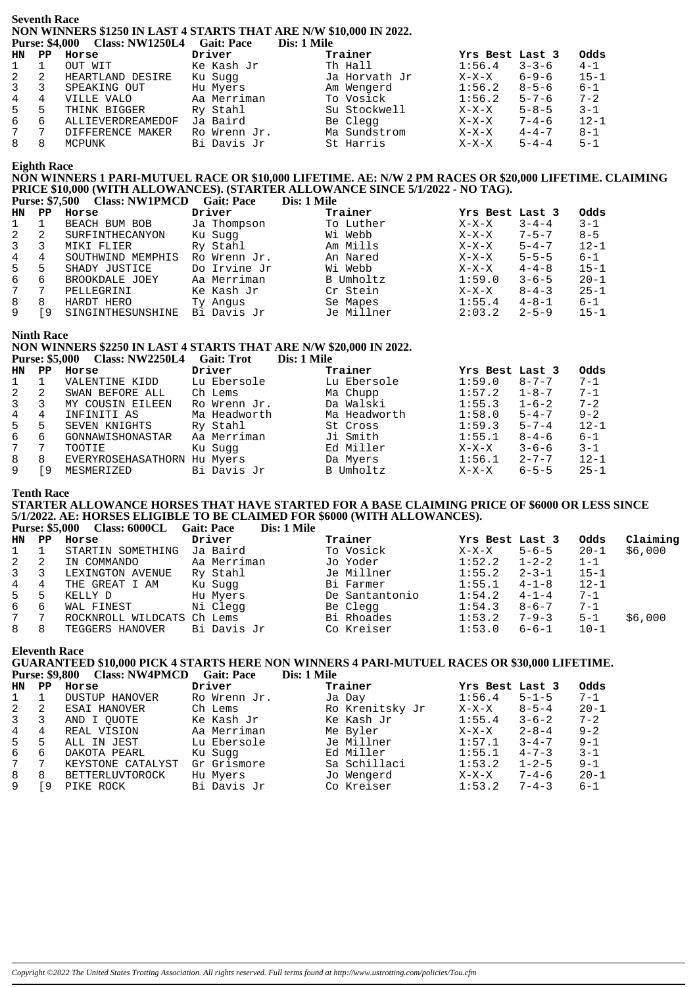#### **Seventh Race** NON WINNERS \$1250 IN LAST 4 STARTS THAT ARE N/W \$10,000 IN 2022. Purse: \$4,000 Class: NW1250L4 Gait: Pace Dis: 1 Mile

| HN.          | PP             | Horse             | Driver       | Trainer       | Yrs Best Last 3 |             | Odds     |
|--------------|----------------|-------------------|--------------|---------------|-----------------|-------------|----------|
| $\mathbf{1}$ |                | OUT WIT           | Ke Kash Jr   | Th Hall       | 1:56.4          | $3 - 3 - 6$ | $4 - 1$  |
| 2            | 2              | HEARTLAND DESIRE  | Ku Suqq      | Ja Horvath Jr | $X-X-X$         | $6 - 9 - 6$ | $15 - 1$ |
| $\mathbf{3}$ | $\overline{3}$ | SPEAKING OUT      | Hu Myers     | Am Wengerd    | 1:56.2          | $8 - 5 - 6$ | $6 - 1$  |
| 4            | 4              | VILLE VALO        | Aa Merriman  | To Vosick     | 1:56.2          | $5 - 7 - 6$ | $7 - 2$  |
| 5            | 5              | THINK BIGGER      | Ry Stahl     | Su Stockwell  | $X-X-X$         | $5 - 8 - 5$ | $3 - 1$  |
| 6            | 6              | ALLIEVERDREAMEDOF | Ja Baird     | Be Clegg      | X-X-X           | $7 - 4 - 6$ | $12 - 1$ |
| 7            |                | DIFFERENCE MAKER  | Ro Wrenn Jr. | Ma Sundstrom  | $X-X-X$         | $4 - 4 - 7$ | $8 - 1$  |
| 8            |                | MCPUNK            | Bi Davis Jr  | St Harris     | $X-X-X$         | $5 - 4 - 4$ | $5 - 1$  |
|              |                |                   |              |               |                 |             |          |

# **Eighth Race**

#### NON WINNERS 1 PARI-MUTUEL RACE OR \$10,000 LIFETIME. AE: N/W 2 PM RACES OR \$20,000 LIFETIME. CLAIMING PRICE \$10,000 (WITH ALLOWANCES). (STARTER ALLOWANCE SINCE 5/1/2022 - NO TAG). Purse: \$7.500 Class: NW1PMCD Gait: Pace Dis: 1 Mile

HN PP Horse Driver Trainer Yrs Best Last 3 Odds  $\mathbf 1$  $\mathbf{1}$ BEACH BUM BOB Ja Thompson To Luther  $X-X-X$  $3 - 4 - 4$  $3 - 1$ Ku Sugg Wi Webb  $7 - 5 - 7$  $8 - 5$  $\mathcal{D}$ SURFINTHECANYON  $X - Y - Y$  $\mathcal{D}$  $\mathbf{3}$ MIKI FLIER Ry Stahl Am Mills  $X-X-X$  $5 - 4 - 7$  $12 - 1$  $\overline{3}$  $\overline{4}$ SOUTHWIND MEMPHIS Ro Wrenn Jr. An Nared  $5 - 5 - 5$  $\overline{4}$  $X - X - Y$  $6 - 1$ Wi Webb Do Irvine Jr  $A - A - Q$  $15 - 1$  $\overline{5}$  $X - Y - Y$ Б SHADY JUSTICE BROOKDALE JOEY Aa Merriman B Umholtz  $1:59.0$  $3 - 6 - 5$  $20 - 1$ 6  $\epsilon$ PELLEGRINI Cr Stein  $X-X-X$  $\overline{7}$ Ke Kash Jr  $8 - 4 - 3$  $25 - 1$  $7$  $\mathsf{R}$ 8 HARDT HERO Ty Angus Se Mapes  $1:55.4$  $4 - 8 - 1$  $6 - 1$  $\mathsf{Q}$ [9 SINGINTHESUNSHINE Bi Davis Jr Je Millner  $2:03.2$  $2 - 5 - 9$  $15 - 1$ 

# **Ninth Race**

#### NON WINNERS \$2250 IN LAST 4 STARTS THAT ARE N/W \$20,000 IN 2022. Purse: \$5,000 Class: NW2250L4 Gait: Trot  $\sum_{i=1}^{n}$  Mile

|              |     | $1000 \div 1000$ $1111$ |              | <b>DIS. 1 BIR</b> |                 |             |          |
|--------------|-----|-------------------------|--------------|-------------------|-----------------|-------------|----------|
| HN           | PP. | Horse                   | Driver       | Trainer           | Yrs Best Last 3 |             | Odds     |
| $\mathbf{1}$ |     | VALENTINE KIDD          | Lu Ebersole  | Lu Ebersole       | 1:59.0          | $8 - 7 - 7$ | $7 - 1$  |
| 2            | 2   | SWAN BEFORE ALL         | Ch Lems      | Ma Chupp          | 1:57.2          | $1 - 8 - 7$ | $7 - 1$  |
| 3            |     | MY COUSIN EILEEN        | Ro Wrenn Jr. | Da Walski         | 1:55.3          | $1 - 6 - 2$ | $7 - 2$  |
| 4            | 4   | INFINITI AS             | Ma Headworth | Ma Headworth      | 1:58.0          | $5 - 4 - 7$ | $9 - 2$  |
| 5            | 5   | SEVEN KNIGHTS           | Ry Stahl     | St Cross          | 1:59.3          | $5 - 7 - 4$ | $12 - 1$ |
| 6            | 6   | GONNAWISHONASTAR        | Aa Merriman  | Ji Smith          | 1:55.1          | $8 - 4 - 6$ | $6 - 1$  |
| 7            |     | TOOTIE                  | Ku Sugg      | Ed Miller         | $X-X-X$         | $3 - 6 - 6$ | $3 - 1$  |
| 8            | 8   | EVERYROSEHASATHORN      | Hu Myers     | Da Myers          | 1:56.1          | $2 - 7 - 7$ | $12 - 1$ |
| 9            | و⊺  | MESMERIZED              | Bi Davis Jr  | <b>B</b> Umholtz  | $X-X-X$         | $6 - 5 - 5$ | $25 - 1$ |
|              |     |                         |              |                   |                 |             |          |

## **Tenth Race**

# STARTER ALLOWANCE HORSES THAT HAVE STARTED FOR A BASE CLAIMING PRICE OF \$6000 OR LESS SINCE 5/1/2022. AE: HORSES ELIGIBLE TO BE CLAIMED FOR \$6000 (WITH ALLOWANCES).

Purse: \$5,000 Class: 6000CL Gait: Pace Dis 1 Mile

| HN PP          |                | Horse                      | Driver      | Trainer        | Yrs Best Last 3  |             | Odds     | Claiming |
|----------------|----------------|----------------------------|-------------|----------------|------------------|-------------|----------|----------|
| 1              |                | STARTIN SOMETHING          | Ja Baird    | To Vosick      | $X-X-X$          | $5 - 6 - 5$ | 20-1     | \$6,000  |
| $2 \quad 2$    |                | IN COMMANDO                | Aa Merriman | Jo Yoder       | $1:52.2$ $1-2-2$ |             | $1 - 1$  |          |
| $3^{\circ}$    | -3             | LEXINGTON AVENUE           | Ry Stahl    | Je Millner     | 1:55.2           | $2 - 3 - 1$ | 15-1     |          |
| $\overline{4}$ | 4              | THE GREAT I AM             | Ku Suqq     | Bi Farmer      | $1:55.1$ $4-1-8$ |             | $12 - 1$ |          |
| 5              | .5             | KELLY D                    | Hu Myers    | De Santantonio | $1:54.2$ $4-1-4$ |             | $7 - 1$  |          |
| 6              | -6             | WAL FINEST                 | Ni Clegg    | Be Clegg       | 1:54.3           | $8 - 6 - 7$ | $7 - 1$  |          |
| 7              | $\overline{7}$ | ROCKNROLL WILDCATS Ch Lems |             | Bi Rhoades     | 1:53.2           | $7 - 9 - 3$ | $5 - 1$  | \$6,000  |
| 8              | 8              | TEGGERS HANOVER            | Bi Davis Jr | Co Kreiser     | 1:53.0           | $6 - 6 - 1$ | $10 - 1$ |          |

## **Eleventh Race**

# **GUARANTEED \$10,000 PICK 4 STARTS HERE NON WINNERS 4 PARI-MUTUEL RACES OR \$30,000 LIFETIME.** Purse: \$9.800 Class: NW4PMCD Gait: Pace Dis: 1 Mile

| HN | PP  | Horse                 | Driver       | Trainer         | Yrs Best Last 3 |             | Odds     |
|----|-----|-----------------------|--------------|-----------------|-----------------|-------------|----------|
|    |     | <b>DUSTUP HANOVER</b> | Ro Wrenn Jr. | Ja Day          | 1:56.4          | $5 - 1 - 5$ | $7 - 1$  |
|    | 2   | ESAI HANOVER          | Ch Lems      | Ro Krenitsky Jr | $X-X-X$         | $8 - 5 - 4$ | $20 - 1$ |
| 3  |     | AND I OUOTE           | Ke Kash Jr   | Ke Kash Jr      | 1:55.4          | $3 - 6 - 2$ | $7 - 2$  |
| 4  | 4   | REAL VISION           | Aa Merriman  | Me Byler        | $X-X-X$         | $2 - 8 - 4$ | $9 - 2$  |
|    | 5   | ALL IN JEST           | Lu Ebersole  | Je Millner      | 1:57.1          | $3 - 4 - 7$ | $9 - 1$  |
| 6  | 6   | DAKOTA PEARL          | Ku Sugg      | Ed Miller       | 1:55.1          | $4 - 7 - 3$ | $3 - 1$  |
|    |     | KEYSTONE CATALYST     | Gr Grismore  | Sa Schillaci    | 1:53.2          | $1 - 2 - 5$ | $9 - 1$  |
| 8  | 8   | BETTERLUVTOROCK       | Hu Myers     | Jo Wengerd      | $X-X-X$         | $7 - 4 - 6$ | $20 - 1$ |
|    | - 9 | PIKE ROCK             | Bi Davis Jr  | Co Kreiser      | 1:53.2          | $7 - 4 - 3$ | $6 - 1$  |